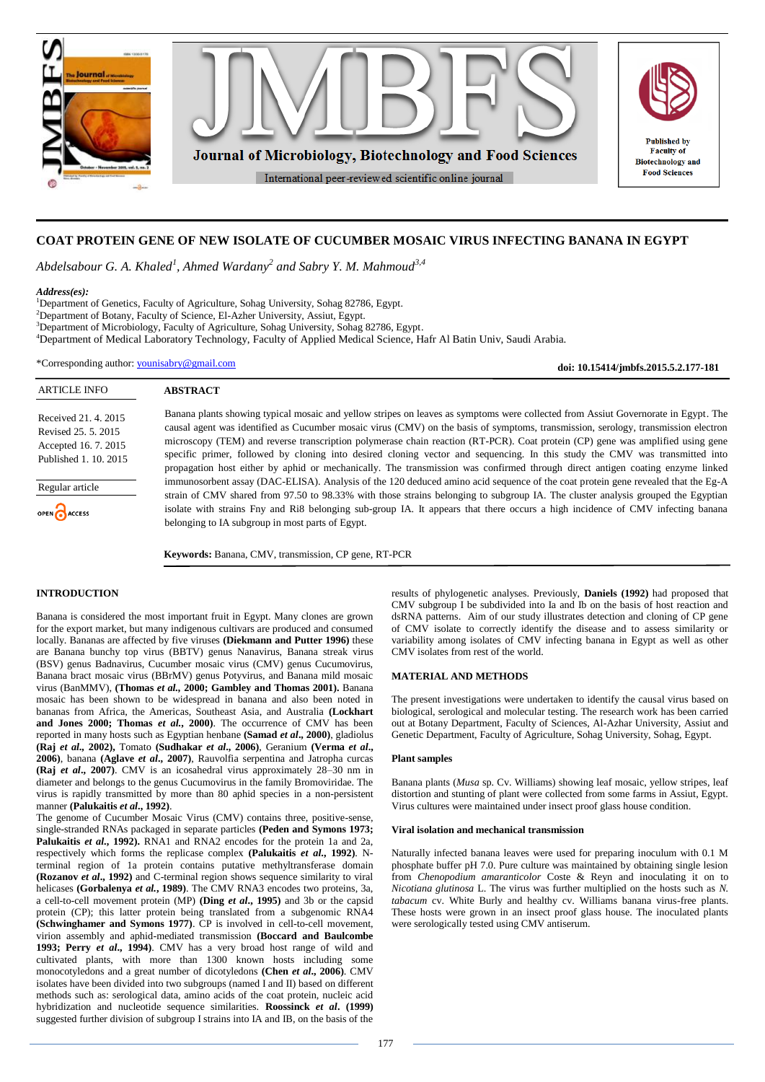

# **COAT PROTEIN GENE OF NEW ISOLATE OF CUCUMBER MOSAIC VIRUS INFECTING BANANA IN EGYPT**

*Abdelsabour G. A. Khaled<sup>1</sup> , Ahmed Wardany<sup>2</sup> and Sabry Y. M. Mahmoud3,4*

### *Address(es):*

ARTICLE INFO

Regular article

OPEN ACCESS

Received 21. 4. 2015 Revised 25. 5. 2015 Accepted 16. 7. 2015 Published 1. 10. 2015

<sup>1</sup>Department of Genetics, Faculty of Agriculture, Sohag University, Sohag 82786, Egypt. Department of Botany, Faculty of Science, El-Azher University, Assiut, Egypt. Department of Microbiology, Faculty of Agriculture, Sohag University, Sohag 82786, Egypt. Department of Medical Laboratory Technology, Faculty of Applied Medical Science, Hafr Al Batin Univ, Saudi Arabia.

\*Corresponding author: [younisabry@gmail.com](mailto:younisabry@gmail.com)

**ABSTRACT**

Banana plants showing typical mosaic and yellow stripes on leaves as symptoms were collected from Assiut Governorate in Egypt. The causal agent was identified as Cucumber mosaic virus (CMV) on the basis of symptoms, transmission, serology, transmission electron microscopy (TEM) and reverse transcription polymerase chain reaction (RT-PCR). Coat protein (CP) gene was amplified using gene specific primer, followed by cloning into desired cloning vector and sequencing. In this study the CMV was transmitted into propagation host either by aphid or mechanically. The transmission was confirmed through direct antigen coating enzyme linked immunosorbent assay (DAC-ELISA). Analysis of the 120 deduced amino acid sequence of the coat protein gene revealed that the Eg-A strain of CMV shared from 97.50 to 98.33% with those strains belonging to subgroup IA. The cluster analysis grouped the Egyptian isolate with strains Fny and Ri8 belonging sub-group IA. It appears that there occurs a high incidence of CMV infecting banana belonging to IA subgroup in most parts of Egypt.

**Keywords:** Banana, CMV, transmission, CP gene, RT-PCR

### **INTRODUCTION**

Banana is considered the most important fruit in Egypt. Many clones are grown for the export market, but many indigenous cultivars are produced and consumed locally. Bananas are affected by five viruses **(Diekmann and Putter 1996)** these are Banana bunchy top virus (BBTV) genus Nanavirus, Banana streak virus (BSV) genus Badnavirus, Cucumber mosaic virus (CMV) genus Cucumovirus, Banana bract mosaic virus (BBrMV) genus Potyvirus, and Banana mild mosaic virus (BanMMV), **(Thomas** *et al.,* **2000; Gambley and Thomas 2001).** Banana mosaic has been shown to be widespread in banana and also been noted in bananas from Africa, the Americas, Southeast Asia, and Australia **(Lockhart and Jones 2000; Thomas** *et al.***, 2000)**. The occurrence of CMV has been reported in many hosts such as Egyptian henbane **(Samad** *et al***., 2000)**, gladiolus **(Raj** *et al.,* **2002),** Tomato **(Sudhakar** *et al***., 2006)**, Geranium **(Verma** *et al***., 2006)**, banana **(Aglave** *et al***., 2007)**, Rauvolfia serpentina and Jatropha curcas **(Raj** *et al***., 2007)**. CMV is an icosahedral virus approximately 28–30 nm in diameter and belongs to the genus Cucumovirus in the family Bromoviridae. The virus is rapidly transmitted by more than 80 aphid species in a non-persistent manner **(Palukaitis** *et al***., 1992)**.

The genome of Cucumber Mosaic Virus (CMV) contains three, positive-sense, single-stranded RNAs packaged in separate particles **(Peden and Symons 1973;** Palukaitis *et al.*, 1992). RNA1 and RNA2 encodes for the protein 1a and 2a, respectively which forms the replicase complex **(Palukaitis** *et al***., 1992)**. Nterminal region of 1a protein contains putative methyltransferase domain **(Rozanov** *et al***., 1992)** and C-terminal region shows sequence similarity to viral helicases **(Gorbalenya** *et al.***, 1989)**. The CMV RNA3 encodes two proteins, 3a, a cell-to-cell movement protein (MP) **(Ding** *et al***., 1995)** and 3b or the capsid protein (CP); this latter protein being translated from a subgenomic RNA4 **(Schwinghamer and Symons 1977)**. CP is involved in cell-to-cell movement, virion assembly and aphid-mediated transmission **(Boccard and Baulcombe 1993; Perry** *et al***., 1994)**. CMV has a very broad host range of wild and cultivated plants, with more than 1300 known hosts including some monocotyledons and a great number of dicotyledons **(Chen** *et al***., 2006)**. CMV isolates have been divided into two subgroups (named I and II) based on different methods such as: serological data, amino acids of the coat protein, nucleic acid hybridization and nucleotide sequence similarities. **Roossinck** *et al***. (1999)** suggested further division of subgroup I strains into IA and IB, on the basis of the

results of phylogenetic analyses. Previously, **Daniels (1992)** had proposed that CMV subgroup I be subdivided into Ia and Ib on the basis of host reaction and dsRNA patterns. Aim of our study illustrates detection and cloning of CP gene of CMV isolate to correctly identify the disease and to assess similarity or variability among isolates of CMV infecting banana in Egypt as well as other CMV isolates from rest of the world.

**doi: 10.15414/jmbfs.2015.5.2.177-181**

# **MATERIAL AND METHODS**

The present investigations were undertaken to identify the causal virus based on biological, serological and molecular testing. The research work has been carried out at Botany Department, Faculty of Sciences, Al-Azhar University, Assiut and Genetic Department, Faculty of Agriculture, Sohag University, Sohag, Egypt.

### **Plant samples**

Banana plants (*Musa* sp. Cv. Williams) showing leaf mosaic, yellow stripes, leaf distortion and stunting of plant were collected from some farms in Assiut, Egypt. Virus cultures were maintained under insect proof glass house condition.

#### **Viral isolation and mechanical transmission**

Naturally infected banana leaves were used for preparing inoculum with 0.1 M phosphate buffer pH 7.0. Pure culture was maintained by obtaining single lesion from *Chenopodium amaranticolor* Coste & Reyn and inoculating it on to *Nicotiana glutinosa* L. The virus was further multiplied on the hosts such as *N. tabacum* cv. White Burly and healthy cv. Williams banana virus-free plants. These hosts were grown in an insect proof glass house. The inoculated plants were serologically tested using CMV antiserum.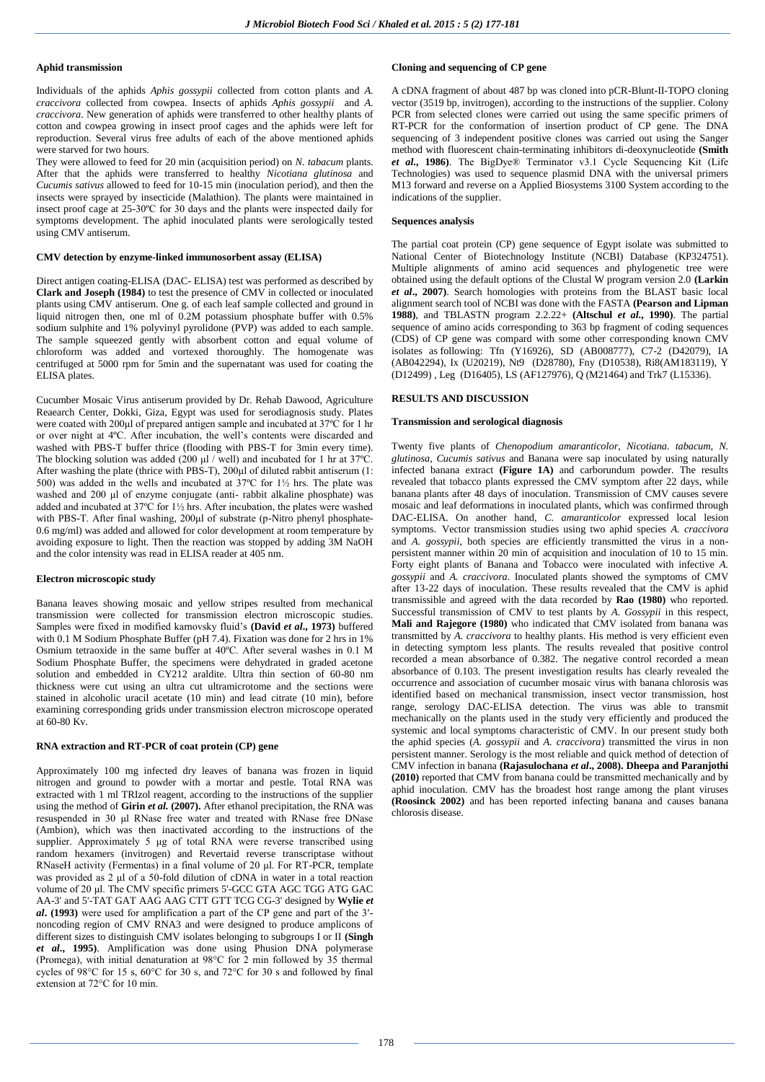### **Aphid transmission**

Individuals of the aphids *Aphis gossypii* collected from cotton plants and *A. craccivora* collected from cowpea. Insects of aphids *Aphis gossypii* and *A. craccivora*. New generation of aphids were transferred to other healthy plants of cotton and cowpea growing in insect proof cages and the aphids were left for reproduction. Several virus free adults of each of the above mentioned aphids were starved for two hours.

They were allowed to feed for 20 min (acquisition period) on *N. tabacum* plants. After that the aphids were transferred to healthy *Nicotiana glutinosa* and *Cucumis sativus* allowed to feed for 10-15 min (inoculation period), and then the insects were sprayed by insecticide (Malathion). The plants were maintained in insect proof cage at 25-30ºC for 30 days and the plants were inspected daily for symptoms development. The aphid inoculated plants were serologically tested using CMV antiserum.

### **CMV detection by enzyme-linked immunosorbent assay (ELISA)**

Direct antigen coating-ELISA (DAC- ELISA) test was performed as described by **Clark and Joseph (1984)** to test the presence of CMV in collected or inoculated plants using CMV antiserum. One g. of each leaf sample collected and ground in liquid nitrogen then, one ml of 0.2M potassium phosphate buffer with 0.5% sodium sulphite and 1% polyvinyl pyrolidone (PVP) was added to each sample. The sample squeezed gently with absorbent cotton and equal volume of chloroform was added and vortexed thoroughly. The homogenate was centrifuged at 5000 rpm for 5min and the supernatant was used for coating the ELISA plates.

Cucumber Mosaic Virus antiserum provided by Dr. Rehab Dawood, Agriculture Reaearch Center, Dokki, Giza, Egypt was used for serodiagnosis study. Plates were coated with 200μl of prepared antigen sample and incubated at 37ºC for 1 hr or over night at 4ºC. After incubation, the well's contents were discarded and washed with PBS-T buffer thrice (flooding with PBS-T for 3min every time). The blocking solution was added (200  $\mu$ l / well) and incubated for 1 hr at 37°C. After washing the plate (thrice with PBS-T), 200µl of diluted rabbit antiserum (1: 500) was added in the wells and incubated at 37ºC for 1½ hrs. The plate was washed and 200 μl of enzyme conjugate (anti- rabbit alkaline phosphate) was added and incubated at 37ºC for 1½ hrs. After incubation, the plates were washed with PBS-T. After final washing, 200μl of substrate (p-Nitro phenyl phosphate-0.6 mg/ml) was added and allowed for color development at room temperature by avoiding exposure to light. Then the reaction was stopped by adding 3M NaOH and the color intensity was read in ELISA reader at 405 nm.

#### **Electron microscopic study**

Banana leaves showing mosaic and yellow stripes resulted from mechanical transmission were collected for transmission electron microscopic studies. Samples were fixed in modified karnovsky fluid's **(David** *et al***., 1973)** buffered with 0.1 M Sodium Phosphate Buffer (pH 7.4). Fixation was done for 2 hrs in 1% Osmium tetraoxide in the same buffer at 40ºC. After several washes in 0.1 M Sodium Phosphate Buffer, the specimens were dehydrated in graded acetone solution and embedded in CY212 araldite. Ultra thin section of 60-80 nm thickness were cut using an ultra cut ultramicrotome and the sections were stained in alcoholic uracil acetate (10 min) and lead citrate (10 min), before examining corresponding grids under transmission electron microscope operated at 60-80 Kv.

### **RNA extraction and RT-PCR of coat protein (CP) gene**

Approximately 100 mg infected dry leaves of banana was frozen in liquid nitrogen and ground to powder with a mortar and pestle. Total RNA was extracted with 1 ml TRIzol reagent, according to the instructions of the supplier using the method of **Girin** *et al.* **(2007).** After ethanol precipitation, the RNA was resuspended in 30 μl RNase free water and treated with RNase free DNase (Ambion), which was then inactivated according to the instructions of the supplier. Approximately 5 μg of total RNA were reverse transcribed using random hexamers (invitrogen) and Revertaid reverse transcriptase without RNaseH activity (Fermentas) in a final volume of 20 μl. For RT-PCR, template was provided as 2 μl of a 50-fold dilution of cDNA in water in a total reaction volume of 20 μl. The CMV specific primers 5'-GCC GTA AGC TGG ATG GAC AA-3' and 5'-TAT GAT AAG AAG CTT GTT TCG CG-3' designed by **Wylie** *et al***. (1993)** were used for amplification a part of the CP gene and part of the 3′ noncoding region of CMV RNA3 and were designed to produce amplicons of different sizes to distinguish CMV isolates belonging to subgroups I or II **(Singh**  *et al***., 1995)**. Amplification was done using Phusion DNA polymerase (Promega), with initial denaturation at 98°C for 2 min followed by 35 thermal cycles of 98 $\degree$ C for 15 s, 60 $\degree$ C for 30 s, and 72 $\degree$ C for 30 s and followed by final extension at 72°C for 10 min.

# **Cloning and sequencing of CP gene**

A cDNA fragment of about 487 bp was cloned into pCR-Blunt-II-TOPO cloning vector (3519 bp, invitrogen), according to the instructions of the supplier. Colony PCR from selected clones were carried out using the same specific primers of RT-PCR for the conformation of insertion product of CP gene. The DNA sequencing of 3 independent positive clones was carried out using the Sanger method with fluorescent chain-terminating inhibitors di-deoxynucleotide **(Smith**  *et al***., 1986)**. The BigDye® Terminator v3.1 Cycle Sequencing Kit (Life Technologies) was used to sequence plasmid DNA with the universal primers M13 forward and reverse on a Applied Biosystems 3100 System according to the indications of the supplier.

### **Sequences analysis**

The partial coat protein (CP) gene sequence of Egypt isolate was submitted to National Center of Biotechnology Institute (NCBI) Database (KP324751). Multiple alignments of amino acid sequences and phylogenetic tree were obtained using the default options of the Clustal W program version 2.0 **(Larkin**  *et al***., 2007)**. Search homologies with proteins from the BLAST basic local alignment search tool of NCBI was done with the FASTA **(Pearson and Lipman 1988)**, and TBLASTN program 2.2.22+ **(Altschul** *et al***., 1990)**. The partial sequence of amino acids corresponding to 363 bp fragment of coding sequences (CDS) of CP gene was compard with some other corresponding known CMV isolates as following: Tfn (Y16926), SD (AB008777), C7-2 (D42079), IA (AB042294), Ix (U20219), Nt9 (D28780), Fny (D10538), Ri8(AM183119), Y (D12499) , Leg (D16405), LS (AF127976), Q (M21464) and Trk7 (L15336).

### **RESULTS AND DISCUSSION**

#### **Transmission and serological diagnosis**

Twenty five plants of *Chenopodium amaranticolor, Nicotiana. tabacum, N. glutinosa, Cucumis sativus* and Banana were sap inoculated by using naturally infected banana extract **(Figure 1A)** and carborundum powder. The results revealed that tobacco plants expressed the CMV symptom after 22 days, while banana plants after 48 days of inoculation. Transmission of CMV causes severe mosaic and leaf deformations in inoculated plants, which was confirmed through DAC-ELISA. On another hand, *C. amaranticolor* expressed local lesion symptoms. Vector transmission studies using two aphid species *A. craccivora*  and *A. gossypii*, both species are efficiently transmitted the virus in a nonpersistent manner within 20 min of acquisition and inoculation of 10 to 15 min. Forty eight plants of Banana and Tobacco were inoculated with infective *A. gossypii* and *A. craccivora*. Inoculated plants showed the symptoms of CMV after 13-22 days of inoculation. These results revealed that the CMV is aphid transmissible and agreed with the data recorded by **Rao (1980)** who reported. Successful transmission of CMV to test plants by *A. Gossypii* in this respect*,* **Mali and Rajegore (1980)** who indicated that CMV isolated from banana was transmitted by *A. craccivora* to healthy plants. His method is very efficient even in detecting symptom less plants. The results revealed that positive control recorded a mean absorbance of 0.382. The negative control recorded a mean absorbance of 0.103. The present investigation results has clearly revealed the occurrence and association of cucumber mosaic virus with banana chlorosis was identified based on mechanical transmission, insect vector transmission, host range, serology DAC-ELISA detection. The virus was able to transmit mechanically on the plants used in the study very efficiently and produced the systemic and local symptoms characteristic of CMV. In our present study both the aphid species (*A. gossypii* and *A. craccivora*) transmitted the virus in non persistent manner. Serology is the most reliable and quick method of detection of CMV infection in banana **(Rajasulochana** *et al***., 2008). Dheepa and Paranjothi (2010)** reported that CMV from banana could be transmitted mechanically and by aphid inoculation. CMV has the broadest host range among the plant viruses **(Roosinck 2002)** and has been reported infecting banana and causes banana chlorosis disease.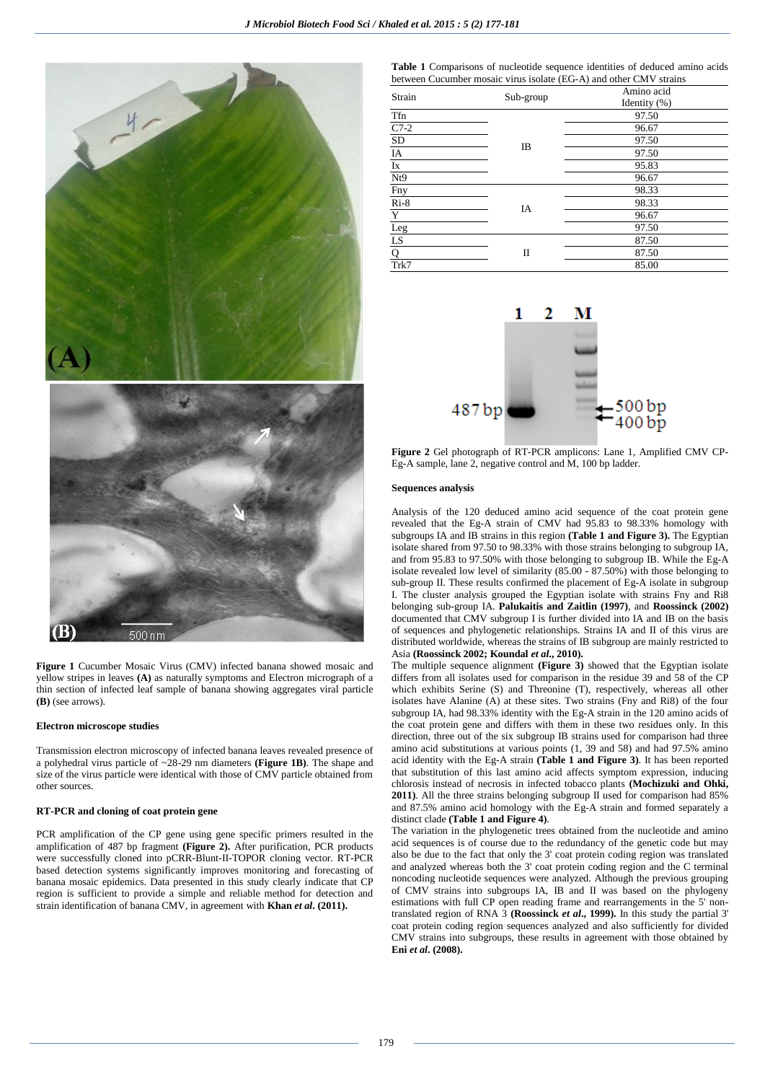

**Figure 1** Cucumber Mosaic Virus (CMV) infected banana showed mosaic and yellow stripes in leaves **(A)** as naturally symptoms and Electron micrograph of a thin section of infected leaf sample of banana showing aggregates viral particle **(B)** (see arrows).

#### **Electron microscope studies**

Transmission electron microscopy of infected banana leaves revealed presence of a polyhedral virus particle of ~28-29 nm diameters **(Figure 1B)**. The shape and size of the virus particle were identical with those of CMV particle obtained from other sources.

### **RT-PCR and cloning of coat protein gene**

PCR amplification of the CP gene using gene specific primers resulted in the amplification of 487 bp fragment **(Figure 2).** After purification, PCR products were successfully cloned into pCRR-Blunt-II-TOPOR cloning vector. RT-PCR based detection systems significantly improves monitoring and forecasting of banana mosaic epidemics. Data presented in this study clearly indicate that CP region is sufficient to provide a simple and reliable method for detection and strain identification of banana CMV, in agreement with **Khan** *et al***. (2011).**

**Table 1** Comparisons of nucleotide sequence identities of deduced amino acids between Cucumber mosaic virus isolate (EG-A) and other CMV strains

| Strain                         | Sub-group      | Amino acid       |
|--------------------------------|----------------|------------------|
|                                |                | Identity $(\% )$ |
| Tfn                            |                | 97.50            |
| $C7-2$                         | $_{\text{IB}}$ | 96.67            |
| SD                             |                | 97.50            |
| IA                             |                | 97.50            |
| $\mathbf{I}\mathbf{x}$         |                | 95.83            |
| Nt9                            |                | 96.67            |
| Fny                            |                | 98.33            |
| $Ri-8$                         | IA             | 98.33            |
| $\overline{Y}$                 |                | 96.67            |
| $\frac{\text{Leg}}{\text{LS}}$ |                | 97.50            |
|                                |                | 87.50            |
| $\overline{Q}$                 | П              | 87.50            |
| Trk7                           |                | 85.00            |



**Figure 2** Gel photograph of RT-PCR amplicons: Lane 1, Amplified CMV CP-Eg-A sample, lane 2, negative control and M, 100 bp ladder.

#### **Sequences analysis**

Analysis of the 120 deduced amino acid sequence of the coat protein gene revealed that the Eg-A strain of CMV had 95.83 to 98.33% homology with subgroups IA and IB strains in this region **(Table 1 and Figure 3).** The Egyptian isolate shared from 97.50 to 98.33% with those strains belonging to subgroup IA, and from 95.83 to 97.50% with those belonging to subgroup IB. While the Eg-A isolate revealed low level of similarity (85.00 - 87.50%) with those belonging to sub-group II. These results confirmed the placement of Eg-A isolate in subgroup I. The cluster analysis grouped the Egyptian isolate with strains Fny and Ri8 belonging sub-group IA. **Palukaitis and Zaitlin (1997)**, and **Roossinck (2002)** documented that CMV subgroup I is further divided into IA and IB on the basis of sequences and phylogenetic relationships. Strains IA and II of this virus are distributed worldwide, whereas the strains of IB subgroup are mainly restricted to Asia **(Roossinck 2002; Koundal** *et al***., 2010).**

The multiple sequence alignment **(Figure 3)** showed that the Egyptian isolate differs from all isolates used for comparison in the residue 39 and 58 of the CP which exhibits Serine (S) and Threonine (T), respectively, whereas all other isolates have Alanine (A) at these sites. Two strains (Fny and Ri8) of the four subgroup IA, had 98.33% identity with the Eg-A strain in the 120 amino acids of the coat protein gene and differs with them in these two residues only. In this direction, three out of the six subgroup IB strains used for comparison had three amino acid substitutions at various points (1, 39 and 58) and had 97.5% amino acid identity with the Eg-A strain **(Table 1 and Figure 3)**. It has been reported that substitution of this last amino acid affects symptom expression, inducing chlorosis instead of necrosis in infected tobacco plants **(Mochizuki and Ohki, 2011)**. All the three strains belonging subgroup II used for comparison had 85% and 87.5% amino acid homology with the Eg-A strain and formed separately a distinct clade **(Table 1 and Figure 4)**.

The variation in the phylogenetic trees obtained from the nucleotide and amino acid sequences is of course due to the redundancy of the genetic code but may also be due to the fact that only the 3' coat protein coding region was translated and analyzed whereas both the 3' coat protein coding region and the C terminal noncoding nucleotide sequences were analyzed. Although the previous grouping of CMV strains into subgroups IA, IB and II was based on the phylogeny estimations with full CP open reading frame and rearrangements in the 5' nontranslated region of RNA 3 **(Roossinck** *et al***., 1999).** In this study the partial 3' coat protein coding region sequences analyzed and also sufficiently for divided CMV strains into subgroups, these results in agreement with those obtained by **Eni** *et al***. (2008).**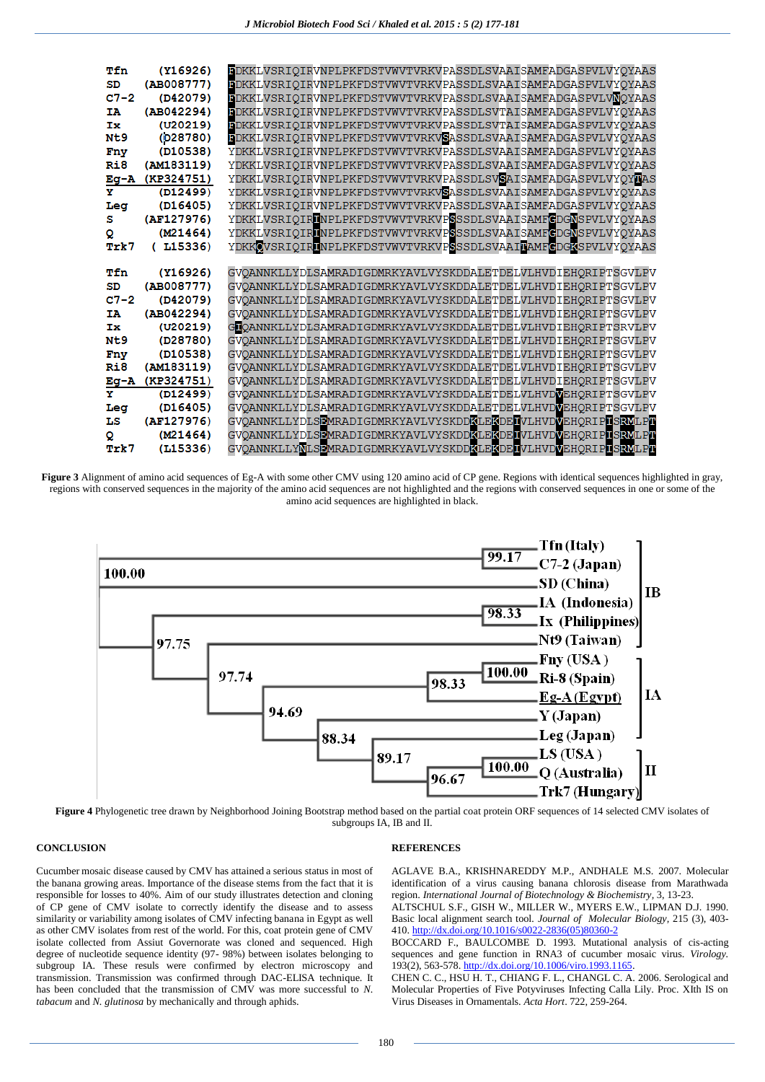| Tfn              | (Y16926)   | <b>BDKKLVSRIQIRVNPLPKFDSTVWVTVRKVPASSDLSVAAISAMFADGASPVLVYQYAAS</b> |
|------------------|------------|---------------------------------------------------------------------|
| SD               | (AB008777) | <b>BDKKLVSRIQIRVNPLPKFDSTVWVTVRKVPASSDLSVAAISAMFADGASPVLVYQYAAS</b> |
| $C7-2$           | (D42079)   | BDKKLVSRIQIRVNPLPKFDSTVWVTVRKVPASSDLSVAAISAMFADGASPVLVNQYAAS        |
| IΆ               | (AB042294) | BDKKLVSRIQIRVNPLPKFDSTVWVTVRKVPASSDLSVTAISAMFADGASPVLVYQYAAS        |
| Ιж               | (U20219)   | BDKKLVSRIOIRVNPLPKFDSTVWVTVRKVPASSDLSVTAISAMFADGASPVLVYOYAAS        |
| N <sub>t</sub> 9 | (D28780)   | BDKKLVSRIQIRVNPLPKFDSTVWVTVRKVSASSDLSVAAISAMFADGASPVLVYQYAAS        |
| Fny              | (D10538)   | YDKKLVSRIQIRVNPLPKFDSTVWVTVRKVPASSDLSVAAISAMFADGASPVLVYQYAAS        |
| Ri8              | (AM183119) | YDKKLVSRIQIRVNPLPKFDSTVWVTVRKVPASSDLSVAAISAMFADGASPVLVYQYAAS        |
| Eg-A             | (KP324751) | YDKKLVSRIQIRVNPLPKFDSTVWVTVRKVPASSDLSVSAISAMFADGASPVLVYQYDAS        |
| Y                | (D12499)   | YDKKLVSRIQIRVNPLPKFDSTVWVTVRKVSASSDLSVAAISAMFADGASPVLVYQYAAS        |
| Leg              | (D16405)   | YDKKLVSRIQIRVNPLPKFDSTVWVTVRKVPASSDLSVAAISAMFADGASPVLVYQYAAS        |
| s                | (AF127976) | YDKKLVSRIQIRINPLPKFDSTVWVTVRKVPSSSDLSVAAISAMFCDGNSPVLVYQYAAS        |
| Q                | (M21464)   | YDKKLVSRIQIRINPLPKFDSTVWVTVRKVPSSSDLSVAAISAMFGDGNSPVLVYQYAAS        |
| Trk7             | (L15336)   | YDKKOVSRIQIRUNPLPKFDSTVWVTVRKVPSSSDLSVAAITAMFCDGKSPVLVYQYAAS        |
|                  |            |                                                                     |
| Tfn              | (Y16926)   | GVOANNKLLYDLSAMRADIGDMRKYAVLVYSKDDALETDELVLHVDIEHORIPTSGVLPV        |
| SD               | (AB008777) | GVQANNKLLYDLSAMRADIGDMRKYAVLVYSKDDALETDELVLHVDIEHQRIPTSGVLPV        |
| $C7 - 2$         | (D42079)   | GVQANNKLLYDLSAMRADIGDMRKYAVLVYSKDDALETDELVLHVDIEHQRIPTSGVLPV        |
| IΆ               | (AB042294) | GVQANNKLLYDLSAMRADIGDMRKYAVLVYSKDDALETDELVLHVDIEHQRIPTSGVLPV        |
| Tж               | (U20219)   | GOQANNKLLYDLSAMRADIGDMRKYAVLVYSKDDALETDELVLHVDIEHQRIPTSRVLPV        |
| N <sub>t</sub> 9 | (D28780)   | GVQANNKLLYDLSAMRADIGDMRKYAVLVYSKDDALETDELVLHVDIEHQRIPTSGVLPV        |
| Fny              | (D10538)   | GVQANNKLLYDLSAMRADIGDMRKYAVLVYSKDDALETDELVLHVDIEHQRIPTSGVLPV        |
| Ri8              | (AM183119) | GVOANNKLLYDLSAMRADIGDMRKYAVLVYSKDDALETDELVLHVDIEHORIPTSGVLPV        |
| Eg-A             | (KP324751) | GVQANNKLLYDLSAMRADIGDMRKYAVLVYSKDDALETDELVLHVDIEHQRIPTSGVLPV        |
| v                | (D12499)   | GVQANNKLLYDLSAMRADIGDMRKYAVLVYSKDDALETDELVLHVDVEHQRIPTSGVLPV        |
| Leg              | (D16405)   | GVQANNKLLYDLSAMRADIGDMRKYAVLVYSKDDALETDELVLHVDVEHQRIPTSGVLPV        |
| LS               | (AF127976) | GVOANNKLLYDLSEMRADIGDMRKYAVLVYSKDDKLEKDELVLHVDVEHORIPLSRVLPT        |
| Q                | (M21464)   | GVOANNKLLYDLSEMRADIGDMRKYAVLVYSKDDKLEKDELVLHVDVEHORIPLSRVLPT        |
| Trk7             | (L15336)   | GVOANNKLLYNLSEMRADIGDMRKYAVLVYSKDDKLEKDEIVLHVDVEHORIPLSRVLPT        |

**Figure 3** Alignment of amino acid sequences of Eg-A with some other CMV using 120 amino acid of CP gene. Regions with identical sequences highlighted in gray, regions with conserved sequences in the majority of the amino acid sequences are not highlighted and the regions with conserved sequences in one or some of the amino acid sequences are highlighted in black.



**Figure 4** Phylogenetic tree drawn by Neighborhood Joining Bootstrap method based on the partial coat protein ORF sequences of 14 selected CMV isolates of subgroups IA, IB and II.

### **CONCLUSION**

### **REFERENCES**

Cucumber mosaic disease caused by CMV has attained a serious status in most of the banana growing areas. Importance of the disease stems from the fact that it is responsible for losses to 40%. Aim of our study illustrates detection and cloning of CP gene of CMV isolate to correctly identify the disease and to assess similarity or variability among isolates of CMV infecting banana in Egypt as well as other CMV isolates from rest of the world. For this, coat protein gene of CMV isolate collected from Assiut Governorate was cloned and sequenced. High degree of nucleotide sequence identity (97- 98%) between isolates belonging to subgroup IA. These resuls were confirmed by electron microscopy and transmission. Transmission was confirmed through DAC-ELISA technique. It has been concluded that the transmission of CMV was more successful to *N. tabacum* and *N. glutinosa* by mechanically and through aphids.

AGLAVE B.A., KRISHNAREDDY M.P., ANDHALE M.S. 2007. Molecular identification of a virus causing banana chlorosis disease from Marathwada region. *International Journal of Biotechnology & Biochemistry,* 3, 13-23. ALTSCHUL S.F., GISH W., MILLER W., MYERS E.W., LIPMAN D.J. 1990.

Basic local alignment search tool*. Journal of Molecular Biology,* 215 (3), 403- 410. [http://dx.doi.org/10.1016/s0022-2836\(05\)80360-2](http://dx.doi.org/10.1016/s0022-2836(05)80360-2)

BOCCARD F., BAULCOMBE D. 1993. Mutational analysis of cis-acting sequences and gene function in RNA3 of cucumber mosaic virus. *Virology.*  $193(2)$ , 563-578. http://dx.doi.org/10.1006/viro.1993.116

CHEN C. C., HSU H. T., CHIANG F. L., CHANGL C. A. 2006. Serological and Molecular Properties of Five Potyviruses Infecting Calla Lily. Proc. XIth IS on Virus Diseases in Ornamentals. *Acta Hort*. 722, 259-264.